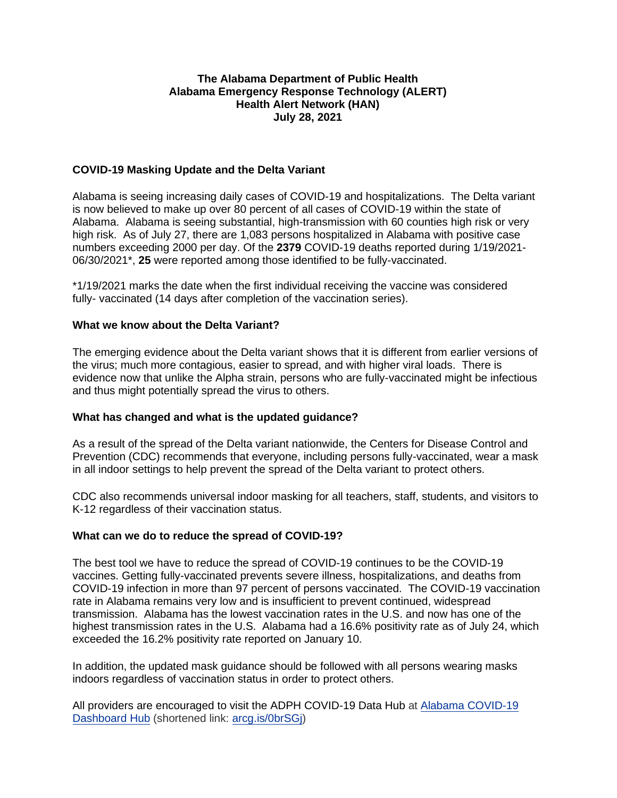### **The Alabama Department of Public Health Alabama Emergency Response Technology (ALERT) Health Alert Network (HAN) July 28, 2021**

### **COVID-19 Masking Update and the Delta Variant**

Alabama is seeing increasing daily cases of COVID-19 and hospitalizations. The Delta variant is now believed to make up over 80 percent of all cases of COVID-19 within the state of Alabama. Alabama is seeing substantial, high-transmission with 60 counties high risk or very high risk. As of July 27, there are 1,083 persons hospitalized in Alabama with positive case numbers exceeding 2000 per day. Of the **2379** COVID-19 deaths reported during 1/19/2021- 06/30/2021\*, **25** were reported among those identified to be fully-vaccinated.

\*1/19/2021 marks the date when the first individual receiving the vaccine was considered fully- vaccinated (14 days after completion of the vaccination series).

#### **What we know about the Delta Variant?**

The emerging evidence about the Delta variant shows that it is different from earlier versions of the virus; much more contagious, easier to spread, and with higher viral loads. There is evidence now that unlike the Alpha strain, persons who are fully-vaccinated might be infectious and thus might potentially spread the virus to others.

#### **What has changed and what is the updated guidance?**

As a result of the spread of the Delta variant nationwide, the Centers for Disease Control and Prevention (CDC) recommends that everyone, including persons fully-vaccinated, wear a mask in all indoor settings to help prevent the spread of the Delta variant to protect others.

CDC also recommends universal indoor masking for all teachers, staff, students, and visitors to K-12 regardless of their vaccination status.

#### **What can we do to reduce the spread of COVID-19?**

The best tool we have to reduce the spread of COVID-19 continues to be the COVID-19 vaccines. Getting fully-vaccinated prevents severe illness, hospitalizations, and deaths from COVID-19 infection in more than 97 percent of persons vaccinated. The COVID-19 vaccination rate in Alabama remains very low and is insufficient to prevent continued, widespread transmission. Alabama has the lowest vaccination rates in the U.S. and now has one of the highest transmission rates in the U.S. Alabama had a 16.6% positivity rate as of July 24, which exceeded the 16.2% positivity rate reported on January 10.

In addition, the updated mask guidance should be followed with all persons wearing masks indoors regardless of vaccination status in order to protect others.

All providers are encouraged to visit the ADPH COVID-19 Data Hub at [Alabama COVID-19](https://alpublichealth.maps.arcgis.com/apps/MapSeries/index.html?appid=d84846411471404c83313bfe7ab2a367)  [Dashboard Hub](https://alpublichealth.maps.arcgis.com/apps/MapSeries/index.html?appid=d84846411471404c83313bfe7ab2a367) (shortened link: [arcg.is/0brSGj\)](https://arcg.is/0brSGj)